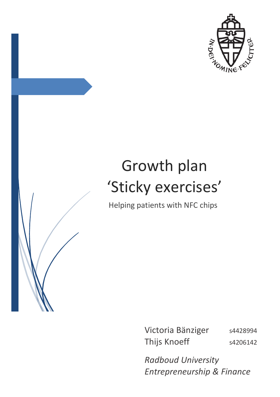

# Growth plan 'Sticky exercises' Helping patients with NFC chips

Victoria Bänziger s4428994 Thijs Knoeff s4206142

*Radboud University Entrepreneurship & Finance*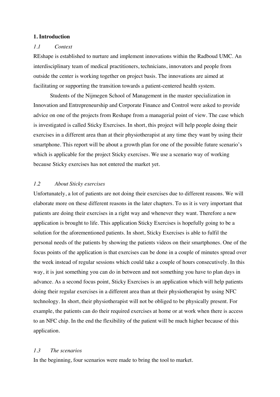## **1. Introduction**

#### *1.1 Context*

REshape is established to nurture and implement innovations within the Radboud UMC. An interdisciplinary team of medical practitioners, technicians, innovators and people from outside the center is working together on project basis. The innovations are aimed at facilitating or supporting the transition towards a patient-centered health system.

Students of the Nijmegen School of Management in the master specialization in Innovation and Entrepreneurship and Corporate Finance and Control were asked to provide advice on one of the projects from Reshape from a managerial point of view. The case which is investigated is called Sticky Exercises. In short, this project will help people doing their exercises in a different area than at their physiotherapist at any time they want by using their smartphone. This report will be about a growth plan for one of the possible future scenario's which is applicable for the project Sticky exercises. We use a scenario way of working because Sticky exercises has not entered the market yet.

## *1.2 About Sticky exercises*

Unfortunately, a lot of patients are not doing their exercises due to different reasons. We will elaborate more on these different reasons in the later chapters. To us it is very important that patients are doing their exercises in a right way and whenever they want. Therefore a new application is brought to life. This application Sticky Exercises is hopefully going to be a solution for the aforementioned patients. In short, Sticky Exercises is able to fulfil the personal needs of the patients by showing the patients videos on their smartphones. One of the focus points of the application is that exercises can be done in a couple of minutes spread over the week instead of regular sessions which could take a couple of hours consecutively. In this way, it is just something you can do in between and not something you have to plan days in advance. As a second focus point, Sticky Exercises is an application which will help patients doing their regular exercises in a different area than at their physiotherapist by using NFC technology. In short, their physiotherapist will not be obliged to be physically present. For example, the patients can do their required exercises at home or at work when there is access to an NFC chip. In the end the flexibility of the patient will be much higher because of this application.

# *1.3 The scenarios*

In the beginning, four scenarios were made to bring the tool to market.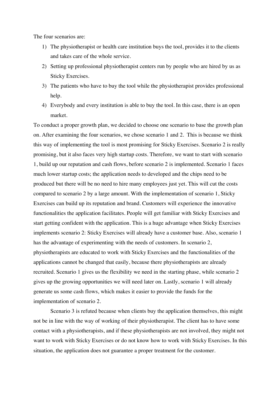The four scenarios are:

- 1) The physiotherapist or health care institution buys the tool, provides it to the clients and takes care of the whole service.
- 2) Setting up professional physiotherapist centers run by people who are hired by us as Sticky Exercises.
- 3) The patients who have to buy the tool while the physiotherapist provides professional help.
- 4) Everybody and every institution is able to buy the tool. In this case, there is an open market.

To conduct a proper growth plan, we decided to choose one scenario to base the growth plan on. After examining the four scenarios, we chose scenario 1 and 2. This is because we think this way of implementing the tool is most promising for Sticky Exercises. Scenario 2 is really promising, but it also faces very high startup costs. Therefore, we want to start with scenario 1, build up our reputation and cash flows, before scenario 2 is implemented. Scenario 1 faces much lower startup costs; the application needs to developed and the chips need to be produced but there will be no need to hire many employees just yet. This will cut the costs compared to scenario 2 by a large amount. With the implementation of scenario 1, Sticky Exercises can build up its reputation and brand. Customers will experience the innovative functionalities the application facilitates. People will get familiar with Sticky Exercises and start getting confident with the application. This is a huge advantage when Sticky Exercises implements scenario 2: Sticky Exercises will already have a customer base. Also, scenario 1 has the advantage of experimenting with the needs of customers. In scenario 2, physiotherapists are educated to work with Sticky Exercises and the functionalities of the applications cannot be changed that easily, because there physiotherapists are already recruited. Scenario 1 gives us the flexibility we need in the starting phase, while scenario 2 gives up the growing opportunities we will need later on. Lastly, scenario 1 will already generate us some cash flows, which makes it easier to provide the funds for the implementation of scenario 2.

Scenario 3 is refuted because when clients buy the application themselves, this might not be in line with the way of working of their physiotherapist. The client has to have some contact with a physiotherapists, and if these physiotherapists are not involved, they might not want to work with Sticky Exercises or do not know how to work with Sticky Exercises. In this situation, the application does not guarantee a proper treatment for the customer.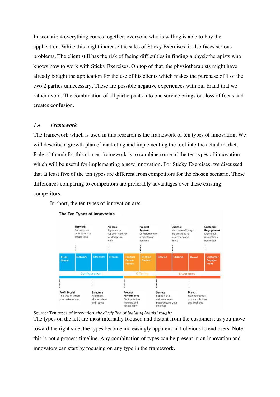In scenario 4 everything comes together, everyone who is willing is able to buy the application. While this might increase the sales of Sticky Exercises, it also faces serious problems. The client still has the risk of facing difficulties in finding a physiotherapists who knows how to work with Sticky Exercises. On top of that, the physiotherapists might have already bought the application for the use of his clients which makes the purchase of 1 of the two 2 parties unnecessary. These are possible negative experiences with our brand that we rather avoid. The combination of all participants into one service brings out loss of focus and creates confusion.

# *1.4 Framework*

The framework which is used in this research is the framework of ten types of innovation. We will describe a growth plan of marketing and implementing the tool into the actual market. Rule of thumb for this chosen framework is to combine some of the ten types of innovation which will be useful for implementing a new innovation. For Sticky Exercises, we discussed that at least five of the ten types are different from competitors for the chosen scenario. These differences comparing to competitors are preferably advantages over these existing competitors.

In short, the ten types of innovation are:



#### The Ten Types of Innovation

Source: Ten types of innovation, *the discipline of building breakthroughs*

The types on the left are most internally focused and distant from the customers; as you move toward the right side, the types become increasingly apparent and obvious to end users. Note: this is not a process timeline. Any combination of types can be present in an innovation and innovators can start by focusing on any type in the framework.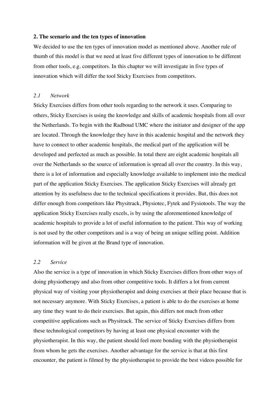#### **2. The scenario and the ten types of innovation**

We decided to use the ten types of innovation model as mentioned above. Another rule of thumb of this model is that we need at least five different types of innovation to be different from other tools, e.g. competitors. In this chapter we will investigate in five types of innovation which will differ the tool Sticky Exercises from competitors.

#### *2.1 Network*

Sticky Exercises differs from other tools regarding to the network it uses. Comparing to others, Sticky Exercises is using the knowledge and skills of academic hospitals from all over the Netherlands. To begin with the Radboud UMC where the initiator and designer of the app are located. Through the knowledge they have in this academic hospital and the network they have to connect to other academic hospitals, the medical part of the application will be developed and perfected as much as possible. In total there are eight academic hospitals all over the Netherlands so the source of information is spread all over the country. In this way, there is a lot of information and especially knowledge available to implement into the medical part of the application Sticky Exercises. The application Sticky Exercises will already get attention by its usefulness due to the technical specifications it provides. But, this does not differ enough from competitors like Physitrack, Physiotec, Fytek and Fysiotools. The way the application Sticky Exercises really excels, is by using the aforementioned knowledge of academic hospitals to provide a lot of useful information to the patient. This way of working is not used by the other competitors and is a way of being an unique selling point. Addition information will be given at the Brand type of innovation.

# *2.2 Service*

Also the service is a type of innovation in which Sticky Exercises differs from other ways of doing physiotherapy and also from other competitive tools. It differs a lot from current physical way of visiting your physiotherapist and doing exercises at their place because that is not necessary anymore. With Sticky Exercises, a patient is able to do the exercises at home any time they want to do their exercises. But again, this differs not much from other competitive applications such as Physitrack. The service of Sticky Exercises differs from these technological competitors by having at least one physical encounter with the physiotherapist. In this way, the patient should feel more bonding with the physiotherapist from whom he gets the exercises. Another advantage for the service is that at this first encounter, the patient is filmed by the physiotherapist to provide the best videos possible for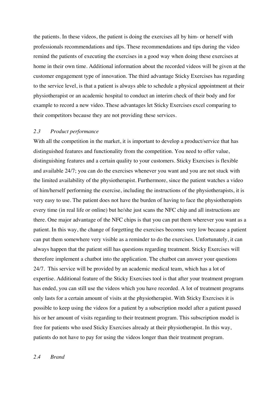the patients. In these videos, the patient is doing the exercises all by him- or herself with professionals recommendations and tips. These recommendations and tips during the video remind the patients of executing the exercises in a good way when doing these exercises at home in their own time. Additional information about the recorded videos will be given at the customer engagement type of innovation. The third advantage Sticky Exercises has regarding to the service level, is that a patient is always able to schedule a physical appointment at their physiotherapist or an academic hospital to conduct an interim check of their body and for example to record a new video. These advantages let Sticky Exercises excel comparing to their competitors because they are not providing these services.

## *2.3 Product performance*

With all the competition in the market, it is important to develop a product/service that has distinguished features and functionality from the competition. You need to offer value, distinguishing features and a certain quality to your customers. Sticky Exercises is flexible and available 24/7; you can do the exercises whenever you want and you are not stuck with the limited availability of the physiotherapist. Furthermore, since the patient watches a video of him/herself performing the exercise, including the instructions of the physiotherapists, it is very easy to use. The patient does not have the burden of having to face the physiotherapists every time (in real life or online) but he/she just scans the NFC chip and all instructions are there. One major advantage of the NFC chips is that you can put them wherever you want as a patient. In this way, the change of forgetting the exercises becomes very low because a patient can put them somewhere very visible as a reminder to do the exercises. Unfortunately, it can always happen that the patient still has questions regarding treatment. Sticky Exercises will therefore implement a chatbot into the application. The chatbot can answer your questions 24/7. This service will be provided by an academic medical team, which has a lot of expertise. Additional feature of the Sticky Exercises tool is that after your treatment program has ended, you can still use the videos which you have recorded. A lot of treatment programs only lasts for a certain amount of visits at the physiotherapist. With Sticky Exercises it is possible to keep using the videos for a patient by a subscription model after a patient passed his or her amount of visits regarding to their treatment program. This subscription model is free for patients who used Sticky Exercises already at their physiotherapist. In this way, patients do not have to pay for using the videos longer than their treatment program.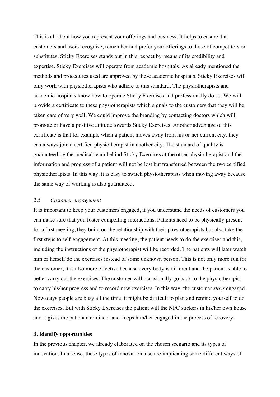This is all about how you represent your offerings and business. It helps to ensure that customers and users recognize, remember and prefer your offerings to those of competitors or substitutes. Sticky Exercises stands out in this respect by means of its credibility and expertise. Sticky Exercises will operate from academic hospitals. As already mentioned the methods and procedures used are approved by these academic hospitals. Sticky Exercises will only work with physiotherapists who adhere to this standard. The physiotherapists and academic hospitals know how to operate Sticky Exercises and professionally do so. We will provide a certificate to these physiotherapists which signals to the customers that they will be taken care of very well. We could improve the branding by contacting doctors which will promote or have a positive attitude towards Sticky Exercises. Another advantage of this certificate is that for example when a patient moves away from his or her current city, they can always join a certified physiotherapist in another city. The standard of quality is guaranteed by the medical team behind Sticky Exercises at the other physiotherapist and the information and progress of a patient will not be lost but transferred between the two certified physiotherapists. In this way, it is easy to switch physiotherapists when moving away because the same way of working is also guaranteed.

#### *2.5 Customer engagement*

It is important to keep your customers engaged, if you understand the needs of customers you can make sure that you foster compelling interactions. Patients need to be physically present for a first meeting, they build on the relationship with their physiotherapists but also take the first steps to self-engagement. At this meeting, the patient needs to do the exercises and this, including the instructions of the physiotherapist will be recorded. The patients will later watch him or herself do the exercises instead of some unknown person. This is not only more fun for the customer, it is also more effective because every body is different and the patient is able to better carry out the exercises. The customer will occasionally go back to the physiotherapist to carry his/her progress and to record new exercises. In this way, the customer *stays* engaged. Nowadays people are busy all the time, it might be difficult to plan and remind yourself to do the exercises. But with Sticky Exercises the patient will the NFC stickers in his/her own house and it gives the patient a reminder and keeps him/her engaged in the process of recovery.

#### **3. Identify opportunities**

In the previous chapter, we already elaborated on the chosen scenario and its types of innovation. In a sense, these types of innovation also are implicating some different ways of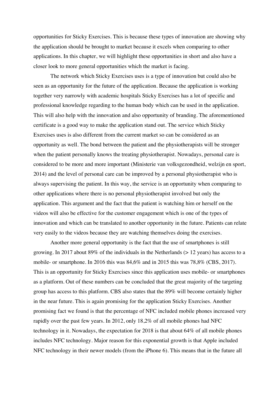opportunities for Sticky Exercises. This is because these types of innovation are showing why the application should be brought to market because it excels when comparing to other applications. In this chapter, we will highlight these opportunities in short and also have a closer look to more general opportunities which the market is facing.

The network which Sticky Exercises uses is a type of innovation but could also be seen as an opportunity for the future of the application. Because the application is working together very narrowly with academic hospitals Sticky Exercises has a lot of specific and professional knowledge regarding to the human body which can be used in the application. This will also help with the innovation and also opportunity of branding. The aforementioned certificate is a good way to make the application stand out. The service which Sticky Exercises uses is also different from the current market so can be considered as an opportunity as well. The bond between the patient and the physiotherapists will be stronger when the patient personally knows the treating physiotherapist. Nowadays, personal care is considered to be more and more important (Ministerie van volksgezondheid, welzijn en sport, 2014) and the level of personal care can be improved by a personal physiotherapist who is always supervising the patient. In this way, the service is an opportunity when comparing to other applications where there is no personal physiotherapist involved but only the application. This argument and the fact that the patient is watching him or herself on the videos will also be effective for the customer engagement which is one of the types of innovation and which can be translated to another opportunity in the future. Patients can relate very easily to the videos because they are watching themselves doing the exercises.

Another more general opportunity is the fact that the use of smartphones is still growing. In 2017 about 89% of the individuals in the Netherlands (> 12 years) has access to a mobile- or smartphone. In 2016 this was 84,6% and in 2015 this was 78,8% (CBS, 2017). This is an opportunity for Sticky Exercises since this application uses mobile- or smartphones as a platform. Out of these numbers can be concluded that the great majority of the targeting group has access to this platform. CBS also states that the 89% will become certainly higher in the near future. This is again promising for the application Sticky Exercises. Another promising fact we found is that the percentage of NFC included mobile phones increased very rapidly over the past few years. In 2012, only 18,2% of all mobile phones had NFC technology in it. Nowadays, the expectation for 2018 is that about 64% of all mobile phones includes NFC technology. Major reason for this exponential growth is that Apple included NFC technology in their newer models (from the iPhone 6). This means that in the future all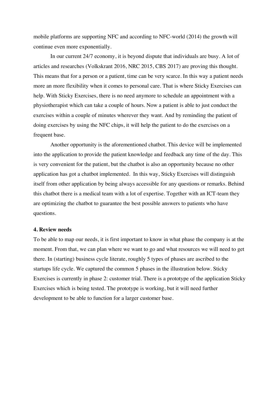mobile platforms are supporting NFC and according to NFC-world (2014) the growth will continue even more exponentially.

In our current 24/7 economy, it is beyond dispute that individuals are busy. A lot of articles and researches (Volkskrant 2016, NRC 2015, CBS 2017) are proving this thought. This means that for a person or a patient, time can be very scarce. In this way a patient needs more an more flexibility when it comes to personal care. That is where Sticky Exercises can help. With Sticky Exercises, there is no need anymore to schedule an appointment with a physiotherapist which can take a couple of hours. Now a patient is able to just conduct the exercises within a couple of minutes wherever they want. And by reminding the patient of doing exercises by using the NFC chips, it will help the patient to do the exercises on a frequent base.

Another opportunity is the aforementioned chatbot. This device will be implemented into the application to provide the patient knowledge and feedback any time of the day. This is very convenient for the patient, but the chatbot is also an opportunity because no other application has got a chatbot implemented. In this way, Sticky Exercises will distinguish itself from other application by being always accessible for any questions or remarks. Behind this chatbot there is a medical team with a lot of expertise. Together with an ICT-team they are optimizing the chatbot to guarantee the best possible answers to patients who have questions.

#### **4. Review needs**

To be able to map our needs, it is first important to know in what phase the company is at the moment. From that, we can plan where we want to go and what resources we will need to get there. In (starting) business cycle literate, roughly 5 types of phases are ascribed to the startups life cycle. We captured the common 5 phases in the illustration below. Sticky Exercises is currently in phase 2: customer trial. There is a prototype of the application Sticky Exercises which is being tested. The prototype is working, but it will need further development to be able to function for a larger customer base.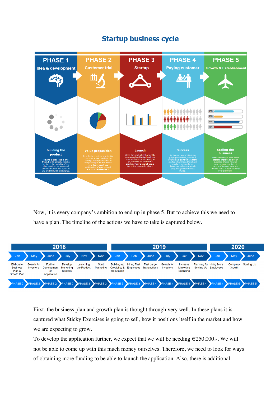

# **Startup business cycle**

Now, it is every company's ambition to end up in phase 5. But to achieve this we need to have a plan. The timeline of the actions we have to take is captured below.



First, the business plan and growth plan is thought through very well. In these plans it is captured what Sticky Exercises is going to sell, how it positions itself in the market and how we are expecting to grow.

To develop the application further, we expect that we will be needing  $\epsilon$ 250.000.-. We will not be able to come up with this much money ourselves. Therefore, we need to look for ways of obtaining more funding to be able to launch the application. Also, there is additional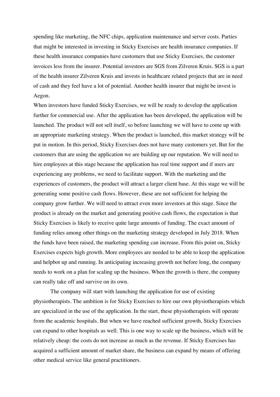spending like marketing, the NFC chips, application maintenance and server costs. Parties that might be interested in investing in Sticky Exercises are health insurance companies. If these health insurance companies have customers that use Sticky Exercises, the customer invoices less from the insurer. Potential investors are SGS from Zilveren Kruis. SGS is a part of the health insurer Zilveren Kruis and invests in healthcare related projects that are in need of cash and they feel have a lot of potential. Another health insurer that might be invest is Aegon.

When investors have funded Sticky Exercises, we will be ready to develop the application further for commercial use. After the application has been developed, the application will be launched. The product will not sell itself, so before launching we will have to come up with an appropriate marketing strategy. When the product is launched, this market strategy will be put in motion. In this period, Sticky Exercises does not have many customers yet. But for the customers that are using the application we are building up our reputation. We will need to hire employees at this stage because the application has real time support and if users are experiencing any problems, we need to facilitate support. With the marketing and the experiences of customers, the product will attract a larger client base. At this stage we will be generating some positive cash flows. However, these are not sufficient for helping the company grow further. We will need to attract even more investors at this stage. Since the product is already on the market and generating positive cash flows, the expectation is that Sticky Exercises is likely to receive quite large amounts of funding. The exact amount of funding relies among other things on the marketing strategy developed in July 2018. When the funds have been raised, the marketing spending can increase. From this point on, Sticky Exercises expects high growth. More employees are needed to be able to keep the application and helpbot up and running. In anticipating increasing growth not before long, the company needs to work on a plan for scaling up the business. When the growth is there, the company can really take off and survive on its own.

The company will start with launching the application for use of existing physiotherapists. The ambition is for Sticky Exercises to hire our own physiotherapists which are specialized in the use of the application. In the start, these physiotherapists will operate from the academic hospitals. But when we have reached sufficient growth, Sticky Exercises can expand to other hospitals as well. This is one way to scale up the business, which will be relatively cheap: the costs do not increase as much as the revenue. If Sticky Exercises has acquired a sufficient amount of market share, the business can expand by means of offering other medical service like general practitioners.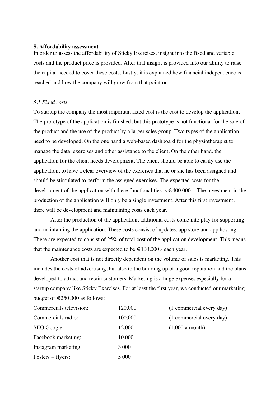#### **5. Affordability assessment**

In order to assess the affordability of Sticky Exercises, insight into the fixed and variable costs and the product price is provided. After that insight is provided into our ability to raise the capital needed to cover these costs. Lastly, it is explained how financial independence is reached and how the company will grow from that point on.

#### *5.1 Fixed costs*

To startup the company the most important fixed cost is the cost to develop the application. The prototype of the application is finished, but this prototype is not functional for the sale of the product and the use of the product by a larger sales group. Two types of the application need to be developed. On the one hand a web-based dashboard for the physiotherapist to manage the data, exercises and other assistance to the client. On the other hand, the application for the client needs development. The client should be able to easily use the application, to have a clear overview of the exercises that he or she has been assigned and should be stimulated to perform the assigned exercises. The expected costs for the development of the application with these functionalities is  $\epsilon$ 400.000,-. The investment in the production of the application will only be a single investment. After this first investment, there will be development and maintaining costs each year.

After the production of the application, additional costs come into play for supporting and maintaining the application. These costs consist of updates, app store and app hosting. These are expected to consist of 25% of total cost of the application development. This means that the maintenance costs are expected to be  $\in$  100.000,- each year.

Another cost that is not directly dependent on the volume of sales is marketing. This includes the costs of advertising, but also to the building up of a good reputation and the plans developed to attract and retain customers. Marketing is a huge expense, especially for a startup company like Sticky Exercises. For at least the first year, we conducted our marketing budget of  $\text{ } \in 250.000$  as follows:

| Commercials television: | 120.000 |
|-------------------------|---------|
| Commercials radio:      | 100.000 |
| SEO Google:             | 12.000  |
| Facebook marketing:     | 10.000  |
| Instagram marketing:    | 3.000   |
| Posters $+$ flyers:     | 5.000   |

 $0 \t(1 \text{ commercial every day})$  $(1 \text{ commercial every day})$  $(1.000$  a month)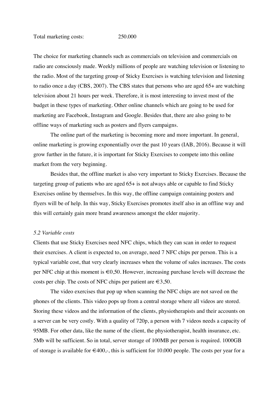The choice for marketing channels such as commercials on television and commercials on radio are consciously made. Weekly millions of people are watching television or listening to the radio. Most of the targeting group of Sticky Exercises is watching television and listening to radio once a day (CBS, 2007). The CBS states that persons who are aged 65+ are watching television about 21 hours per week. Therefore, it is most interesting to invest most of the budget in these types of marketing. Other online channels which are going to be used for marketing are Facebook, Instagram and Google. Besides that, there are also going to be offline ways of marketing such as posters and flyers campaigns.

The online part of the marketing is becoming more and more important. In general, online marketing is growing exponentially over the past 10 years (IAB, 2016). Because it will grow further in the future, it is important for Sticky Exercises to compete into this online market from the very beginning.

Besides that, the offline market is also very important to Sticky Exercises. Because the targeting group of patients who are aged 65+ is not always able or capable to find Sticky Exercises online by themselves. In this way, the offline campaign containing posters and flyers will be of help. In this way, Sticky Exercises promotes itself also in an offline way and this will certainly gain more brand awareness amongst the elder majority.

#### *5.2 Variable costs*

Clients that use Sticky Exercises need NFC chips, which they can scan in order to request their exercises. A client is expected to, on average, need 7 NFC chips per person. This is a typical variable cost, that very clearly increases when the volume of sales increases. The costs per NFC chip at this moment is  $\epsilon 0.50$ . However, increasing purchase levels will decrease the costs per chip. The costs of NFC chips per patient are  $\in 3,50$ .

The video exercises that pop up when scanning the NFC chips are not saved on the phones of the clients. This video pops up from a central storage where all videos are stored. Storing these videos and the information of the clients, physiotherapists and their accounts on a server can be very costly. With a quality of 720p, a person with 7 videos needs a capacity of 95MB. For other data, like the name of the client, the physiotherapist, health insurance, etc. 5Mb will be sufficient. So in total, server storage of 100MB per person is required. 1000GB of storage is available for  $\epsilon$ 400,-, this is sufficient for 10.000 people. The costs per year for a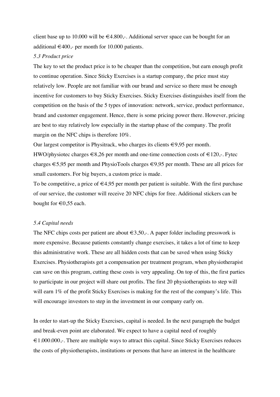client base up to 10.000 will be  $\in 4.800$ ,-. Additional server space can be bought for an additional  $\in$  400,- per month for 10.000 patients.

## *5.3 Product price*

The key to set the product price is to be cheaper than the competition, but earn enough profit to continue operation. Since Sticky Exercises is a startup company, the price must stay relatively low. People are not familiar with our brand and service so there must be enough incentive for customers to buy Sticky Exercises. Sticky Exercises distinguishes itself from the competition on the basis of the 5 types of innovation: network, service, product performance, brand and customer engagement. Hence, there is some pricing power there. However, pricing are best to stay relatively low especially in the startup phase of the company. The profit margin on the NFC chips is therefore 10%.

Our largest competitor is Physitrack, who charges its clients  $\in 9.95$  per month.

HWO/physiotec charges  $\in 8,26$  per month and one-time connection costs of  $\in 120$ ,-. Fytec charges €5,95 per month and PhysioTools charges €9,95 per month. These are all prices for small customers. For big buyers, a custom price is made.

To be competitive, a price of  $\in$ 4,95 per month per patient is suitable. With the first purchase of our service, the customer will receive 20 NFC chips for free. Additional stickers can be bought for  $\in 0,55$  each.

#### *5.4 Capital needs*

The NFC chips costs per patient are about  $\in 3, 50,$ . A paper folder including presswork is more expensive. Because patients constantly change exercises, it takes a lot of time to keep this administrative work. These are all hidden costs that can be saved when using Sticky Exercises. Physiotherapists get a compensation per treatment program, when physiotherapist can save on this program, cutting these costs is very appealing. On top of this, the first parties to participate in our project will share out profits. The first 20 physiotherapists to step will will earn 1% of the profit Sticky Exercises is making for the rest of the company's life. This will encourage investors to step in the investment in our company early on.

In order to start-up the Sticky Exercises, capital is needed. In the next paragraph the budget and break-even point are elaborated. We expect to have a capital need of roughly  $\epsilon$ 1.000.000,-. There are multiple ways to attract this capital. Since Sticky Exercises reduces the costs of physiotherapists, institutions or persons that have an interest in the healthcare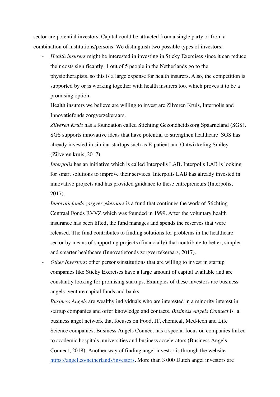sector are potential investors. Capital could be attracted from a single party or from a combination of institutions/persons. We distinguish two possible types of investors:

- *Health insurers* might be interested in investing in Sticky Exercises since it can reduce their costs significantly. 1 out of 5 people in the Netherlands go to the physiotherapists, so this is a large expense for health insurers. Also, the competition is supported by or is working together with health insurers too, which proves it to be a promising option.

Health insurers we believe are willing to invest are Zilveren Kruis, Interpolis and Innovatiefonds zorgverzekeraars.

*Zilveren Kruis* has a foundation called Stichting Gezondheidszorg Spaarneland (SGS). SGS supports innovative ideas that have potential to strengthen healthcare. SGS has already invested in similar startups such as E-patiënt and Ontwikkeling Smiley (Zilveren kruis, 2017).

*Interpolis* has an initiative which is called Interpolis LAB. Interpolis LAB is looking for smart solutions to improve their services. Interpolis LAB has already invested in innovative projects and has provided guidance to these entrepreneurs (Interpolis, 2017).

*Innovatiefonds zorgverzekeraars* is a fund that continues the work of Stichting Centraal Fonds RVVZ which was founded in 1999. After the voluntary health insurance has been lifted, the fund manages and spends the reserves that were released. The fund contributes to finding solutions for problems in the healthcare sector by means of supporting projects (financially) that contribute to better, simpler and smarter healthcare (Innovatiefonds zorgverzekeraars, 2017).

*Other Investors*: other persons/institutions that are willing to invest in startup companies like Sticky Exercises have a large amount of capital available and are constantly looking for promising startups. Examples of these investors are business angels, venture capital funds and banks.

*Business Angels* are wealthy individuals who are interested in a minority interest in startup companies and offer knowledge and contacts. *Business Angels Connect* is a business angel network that focuses on Food, IT, chemical, Med-tech and Life Science companies. Business Angels Connect has a special focus on companies linked to academic hospitals, universities and business accelerators (Business Angels Connect, 2018). Another way of finding angel investor is through the website https://angel.co/netherlands/investors. More than 3.000 Dutch angel investors are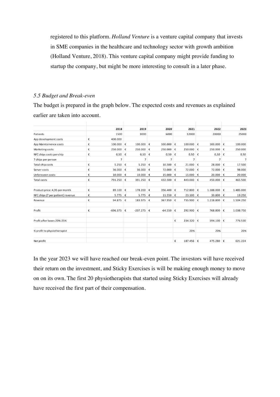registered to this platform. *Holland Venture* is a venture capital company that invests in SME companies in the healthcare and technology sector with growth ambition (Holland Venture, 2018). This venture capital company might provide funding to startup the company, but might be more interesting to consult in a later phase.

# *5.5 Budget and Break-even*

The budget is prepared in the graph below. The expected costs and revenues as explained earlier are taken into account.

|                                   |   | 2018       |   | 2019           |   | 2020      |   | 2021    |            | 2022      |   | 2023      |
|-----------------------------------|---|------------|---|----------------|---|-----------|---|---------|------------|-----------|---|-----------|
| Patients                          |   | 1500       |   | 3000           |   | 6000      |   | 12000   |            | 20000     |   | 25000     |
| App development costs             | € | 400.000    |   |                |   |           |   |         |            |           |   |           |
| App Maintainence costs            | € | 100.000    | € | 100.000        | € | 100.000   | € | 100.000 | €          | 100.000   | € | 100.000   |
| Marketing costs                   | € | 250.000    | € | 250.000        | € | 250.000   | € | 250.000 | €          | 250.000   | € | 250.000   |
| NFC chips costs per chip          | € | 0,50       | € | 0,50           | € | 0,50      | € | 0,50    | €          | 0,50      | € | 0,50      |
| 7 chips per person                |   | 7          |   | $\overline{7}$ |   | 7         |   | 7       |            | 7         |   | 7         |
| Total chip costs                  | € | 5.250      | € | 5.250          | € | 10.500    | € | 21.000  | €          | 28.000    | € | 17.500    |
| Server costs                      | € | 36.000     | € | 36.000         | € | 72.000    | € | 72.000  | €          | 72.000    | € | 98.000    |
| Unforeseen costs                  | € | 10.000     | € | 10.000         | € | 15.000 €  |   | 15.000  | ∣€         | 20.000    | € | 20.000    |
| Total costs                       | € | 791.250    | € | 391.250        | € | 432.500   | € | 443.000 | €          | 450.000   | € | 465.500   |
| Product price: 4,95 per month     | € | 89.100     | € | 178.200        | € | 356.400   | € | 712.800 | €          | 1.188.000 | € | 1.485.000 |
| NFC chips (7 per patient) revenue | € | 5.775      | € | 5.775          | € | 11.550    | € | 23.100  | €          | 30.800    | € | 19.250    |
| Revenue                           | € | 94.875     | € | 183.975 €      |   | 367.950   | € | 735.900 | €          | 1.218.800 | € | 1.504.250 |
| Profit                            | € | $-696.375$ | € | $-207.275$     | € | $-64.550$ | € | 292.900 | €          | 768.800   | € | 1.038.750 |
| Profit after taxes 20%-25%        |   |            |   |                |   |           | € | 234.320 | €          | 594.100   | € | 776.530   |
| % profit to physiotherapist       |   |            |   |                |   |           |   | 20%     |            | 20%       |   | 20%       |
| Net profit                        |   |            |   |                |   |           | € | 187.456 | $\epsilon$ | 475.280   | € | 621.224   |

In the year 2023 we will have reached our break-even point. The investors will have received their return on the investment, and Sticky Exercises is will be making enough money to move on on its own. The first 20 physiotherapists that started using Sticky Exercises will already have received the first part of their compensation.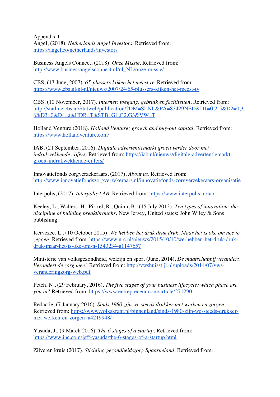Appendix 1 Angel, (2018). *Netherlands Angel Investors*. Retrieved from: https://angel.co/netherlands/investors

Business Angels Connect, (2018). *Onze Missie*. Retrieved from: http://www.businessangelsconnect.nl/nl\_NL/onze-missie/

CBS, (13 June, 2007). *65-plussers kijken het meest tv.* Retrieved from: https://www.cbs.nl/nl-nl/nieuws/2007/24/65-plussers-kijken-het-meest-tv

CBS, (10 November, 2017). *Internet: toegang, gebruik en faciliteiten*. Retrieved from: http://statline.cbs.nl/Statweb/publication/?DM=SLNL&PA=83429NED&D1=0,2-5&D2=0,3- 6&D3=0&D4=a&HDR=T&STB=G1,G2,G3&VW=T

Holland Venture (2018). *Holland Venture: growth and buy-out capital.* Retrieved from: https://www.hollandventure.com/

IAB, (21 September, 2016). *Digitale advertentiemarkt groeit verder door met indrukwekkende cijfers.* Retrieved from: https://iab.nl/nieuws/digitale-advertentiemarktgroeit-indrukwekkende-cijfers/

Innovatiefonds zorgverzekeraars, (2017). *About us*. Retrieved from: http://www.innovatiefondszorgverzekeraars.nl/innovatiefonds-zorgverzekeraars-organisatie

Interpolis, (2017). *Interpolis LAB*. Retrieved from: https://www.interpolis.nl/lab

Keeley, L., Walters, H., Pikkel, R., Quinn, B., (15 July 2013). *Ten types of innovation: the discipline of building breakthroughs.* New Jersey, United states: John Wiley & Sons publishing

Kervezee, L., (10 October 2015). *We hebben het druk druk druk. Maar het is oke om nee te*  zeggen. Retrieved from: https://www.nrc.nl/nieuws/2015/10/10/we-hebben-het-druk-drukdruk-maar-het-is-oke-om-n-1543234-a1147657

Ministerie van volksgezondheid, welzijn en sport (June, 2014). *De maatschappij verandert. Verandert de zorg mee?* Retrieved from: http://vwshuisstijl.nl/uploads/2014/07/vwsveranderingzorg-web.pdf

Petch, N., (29 February, 2016). *The five stages of your business lifecycle: which phase are you in?* Retrieved from: https://www.entrepreneur.com/article/271290

Redactie, (7 January 2016). *Sinds 1980 zijn we steeds drukker met werken en zorgen.* Retrieved from: https://www.volkskrant.nl/binnenland/sinds-1980-zijn-we-steeds-drukkermet-werken-en-zorgen~a4219948/

Yasuda, J., (9 March 2016). *The 6 stages of a startup.* Retrieved from: https://www.inc.com/jeff-yasuda/the-6-stages-of-a-startup.html

Zilveren kruis (2017). *Stichting gezondheidszorg Spaarneland.* Retrieved from: